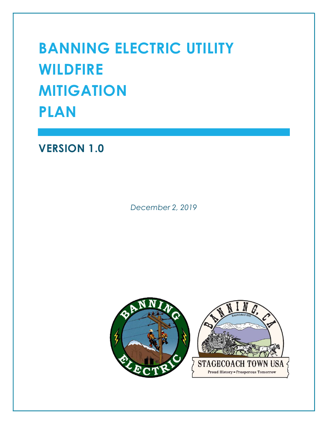# BANNING ELECTRIC UTILITY WILDFIRE **MITIGATION** PLAN

# VERSION 1.0

December 2, 2019

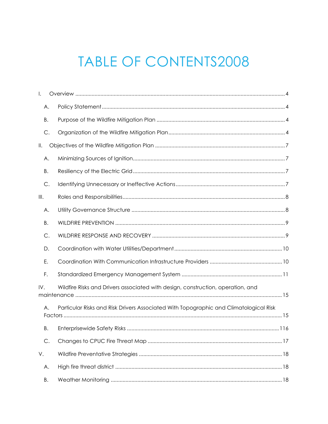# **TABLE OF CONTENTS2008**

| I.                     |                                                                                       |
|------------------------|---------------------------------------------------------------------------------------|
| Α.                     |                                                                                       |
| В.                     |                                                                                       |
| C.                     |                                                                                       |
| Ⅱ.                     |                                                                                       |
| Α.                     |                                                                                       |
| В.                     |                                                                                       |
| C.                     |                                                                                       |
| $\parallel\parallel$ . |                                                                                       |
| Α.                     |                                                                                       |
| Β.                     |                                                                                       |
| C.                     |                                                                                       |
| D.                     |                                                                                       |
| Ε.                     |                                                                                       |
| F.                     |                                                                                       |
| IV.                    | Wildfire Risks and Drivers associated with design, construction, operation, and       |
| Α.                     | Particular Risks and Risk Drivers Associated With Topographic and Climatological Risk |
| В.                     |                                                                                       |
| C.                     |                                                                                       |
| V.                     |                                                                                       |
| Α.                     |                                                                                       |
| В.                     |                                                                                       |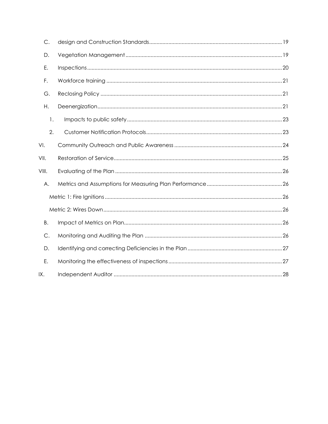| $\mathsf{C}.$ |  |
|---------------|--|
| D.            |  |
| Ε.            |  |
| F.            |  |
| G.            |  |
| Η.            |  |
| 1.            |  |
| 2.            |  |
| VI.           |  |
| VII.          |  |
| VIII.         |  |
| Α.            |  |
|               |  |
|               |  |
| В.            |  |
| $\mathsf{C}.$ |  |
| D.            |  |
| Ε.            |  |
| IX.           |  |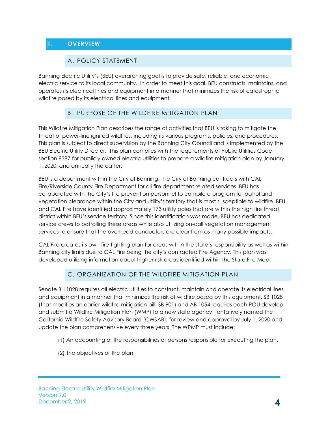## I. OVERVIEW

#### A. POLICY STATEMENT

Banning Electric Utility's (BEU) overarching goal is to provide safe, reliable, and economic electric service to its local community. In order to meet this goal, BEU constructs, maintains, and operates its electrical lines and equipment in a manner that minimizes the risk of catastrophic wildfire posed by its electrical lines and equipment.

#### B. PURPOSE OF THE WILDFIRE MITIGATION PLAN

This Wildfire Mitigation Plan describes the range of activities that BEU is taking to mitigate the threat of power-line ignited wildfires, including its various programs, policies, and procedures. This plan is subject to direct supervision by the Banning City Council and is implemented by the BEU Electric Utility Director. This plan complies with the requirements of Public Utilities Code section 8387 for publicly owned electric utilities to prepare a wildfire mitigation plan by January 1, 2020, and annually thereafter.

BEU is a department within the City of Banning. The City of Banning contracts with CAL Fire/Riverside County Fire Department for all fire department related services. BEU has collaborated with the City's fire prevention personnel to compile a program for patrol and vegetation clearance within the City and Utility's territory that is most susceptible to wildfire. BEU and CAL Fire have identified approximately 173 utility poles that are within the high fire threat district within BEU's service territory. Since this identification was made, BEU has dedicated service crews to patrolling these areas while also utilizing on-call vegetation management services to ensure that the overhead conductors are clear from as many possible impacts.

CAL Fire creates its own fire-fighting plan for areas within the state's responsibility as well as within Banning city limits due to CAL Fire being the city's contracted Fire Agency. This plan was developed utilizing information about higher risk areas identified within the State Fire Map.

#### C. ORGANIZATION OF THE WILDFIRE MITIGATION PLAN

Senate Bill 1028 requires all electric utilities to construct, maintain and operate its electrical lines and equipment in a manner that minimizes the risk of wildfire posed by this equipment. SB 1028 (that modifies an earlier wildfire mitigation bill, SB 901) and AB 1054 requires each POU develop and submit a Wildfire Mitigation Plan (WMP) to a new state agency, tentatively named the California Wildfire Safety Advisory Board (CWSAB), for review and approval by July 1, 2020 and update the plan comprehensive every three years. The WPMP must include:

- (1) An accounting of the responsibilities of persons responsible for executing the plan.
- (2) The objectives of the plan.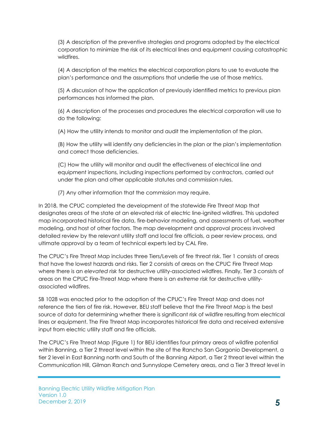(3) A description of the preventive strategies and programs adopted by the electrical corporation to minimize the risk of its electrical lines and equipment causing catastrophic wildfires.

(4) A description of the metrics the electrical corporation plans to use to evaluate the plan's performance and the assumptions that underlie the use of those metrics.

(5) A discussion of how the application of previously identified metrics to previous plan performances has informed the plan.

(6) A description of the processes and procedures the electrical corporation will use to do the following:

(A) How the utility intends to monitor and audit the implementation of the plan.

(B) How the utility will identify any deficiencies in the plan or the plan's implementation and correct those deficiencies.

(C) How the utility will monitor and audit the effectiveness of electrical line and equipment inspections, including inspections performed by contractors, carried out under the plan and other applicable statutes and commission rules.

(7) Any other information that the commission may require.

In 2018, the CPUC completed the development of the statewide Fire Threat Map that designates areas of the state at an elevated risk of electric line-ignited wildfires. This updated map incorporated historical fire data, fire-behavior modeling, and assessments of fuel, weather modeling, and host of other factors. The map development and approval process involved detailed review by the relevant utility staff and local fire officials, a peer review process, and ultimate approval by a team of technical experts led by CAL Fire.

The CPUC's Fire Threat Map includes three Tiers/Levels of fire threat risk. Tier 1 consists of areas that have the lowest hazards and risks. Tier 2 consists of areas on the CPUC Fire Threat Map where there is an elevated risk for destructive utility-associated wildfires. Finally, Tier 3 consists of areas on the CPUC Fire-Threat Map where there is an extreme risk for destructive utilityassociated wildfires.

SB 1028 was enacted prior to the adoption of the CPUC's Fire Threat Map and does not reference the tiers of fire risk. However, BEU staff believe that the Fire Threat Map is the best source of data for determining whether there is significant risk of wildfire resulting from electrical lines or equipment. The Fire Threat Map incorporates historical fire data and received extensive input from electric utility staff and fire officials.

The CPUC's Fire Threat Map (Figure 1) for BEU identifies four primary areas of wildfire potential within Banning, a Tier 2 threat level within the site of the Rancho San Gorgonio Development, a tier 2 level in East Banning north and South of the Banning Airport, a Tier 2 threat level within the Communication Hill, Gilman Ranch and Sunnyslope Cemetery areas, and a Tier 3 threat level in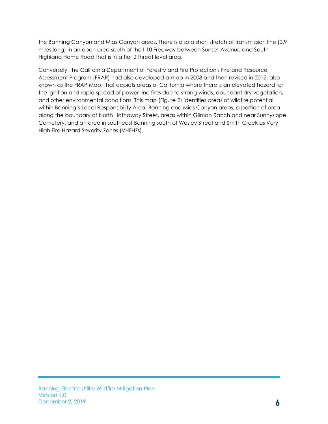the Banning Canyon and Mias Canyon areas. There is also a short stretch of transmission line (0.9 miles long) in an open area south of the I-10 Freeway between Sunset Avenue and South Highland Home Road that is in a Tier 2 threat level area.

Conversely, the California Department of Forestry and Fire Protection's Fire and Resource Assessment Program (FRAP) had also developed a map in 2008 and then revised in 2012, also known as the FRAP Map, that depicts areas of California where there is an elevated hazard for the ignition and rapid spread of power-line fires due to strong winds, abundant dry vegetation, and other environmental conditions. This map (Figure 2) identifies areas of wildfire potential within Banning's Local Responsibility Area. Banning and Mias Canyon areas, a portion of area along the boundary of North Hathaway Street, areas within Gilman Ranch and near Sunnyslope Cemetery, and an area in southeast Banning south of Wesley Street and Smith Creek as Very High Fire Hazard Severity Zones (VHFHZs).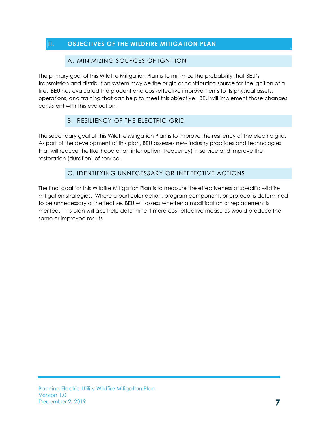#### II. OBJECTIVES OF THE WILDFIRE MITIGATION PLAN

#### A. MINIMIZING SOURCES OF IGNITION

The primary goal of this Wildfire Mitigation Plan is to minimize the probability that BEU's transmission and distribution system may be the origin or contributing source for the ignition of a fire. BEU has evaluated the prudent and cost-effective improvements to its physical assets, operations, and training that can help to meet this objective. BEU will implement those changes consistent with this evaluation.

## B. RESILIENCY OF THE ELECTRIC GRID

The secondary goal of this Wildfire Mitigation Plan is to improve the resiliency of the electric grid. As part of the development of this plan, BEU assesses new industry practices and technologies that will reduce the likelihood of an interruption (frequency) in service and improve the restoration (duration) of service.

## C. IDENTIFYING UNNECESSARY OR INEFFECTIVE ACTIONS

The final goal for this Wildfire Mitigation Plan is to measure the effectiveness of specific wildfire mitigation strategies. Where a particular action, program component, or protocol is determined to be unnecessary or ineffective, BEU will assess whether a modification or replacement is merited. This plan will also help determine if more cost-effective measures would produce the same or improved results.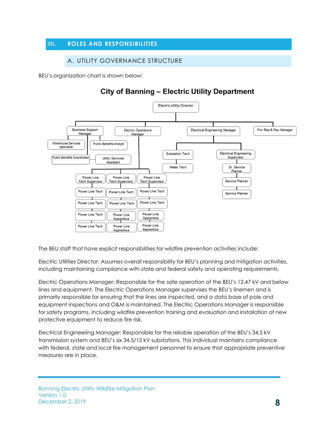#### III. ROLES AND RESPONSIBILITIES

#### A. UTILITY GOVERNANCE STRUCTURE

BEU's organization chart is shown below:

# **City of Banning - Electric Utility Department**



The BEU staff that have explicit responsibilities for wildfire prevention activities include:

Electric Utilities Director: Assumes overall responsibility for BEU's planning and mitigation activities, including maintaining compliance with state and federal safety and operating requirements.

Electric Operations Manager: Responsible for the safe operation of the BEU's 12.47 kV and below lines and equipment. The Electric Operations Manager supervises the BEU's linemen and is primarily responsible for ensuring that the lines are inspected, and a data base of pole and equipment inspections and O&M is maintained. The Electric Operations Manager is responsible for safety programs, including wildfire prevention training and evaluation and installation of new protective equipment to reduce fire risk.

Electrical Engineering Manager: Responsible for the reliable operation of the BEU's 34.5 kV transmission system and BEU's six 34.5/12 kV substations. This individual maintains compliance with federal, state and local fire management personnel to ensure that appropriate preventive measures are in place.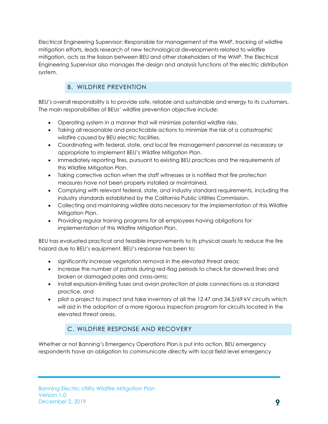Electrical Engineering Supervisor: Responsible for management of the WMP, tracking of wildfire mitigation efforts, leads research of new technological developments related to wildfire mitigation, acts as the liaison between BEU and other stakeholders of the WMP. The Electrical Engineering Supervisor also manages the design and analysis functions of the electric distribution system.

# B. WILDFIRE PREVENTION

BEU's overall responsibility is to provide safe, reliable and sustainable and energy to its customers. The main responsibilities of BEUs' wildfire prevention objective include:

- Operating system in a manner that will minimize potential wildfire risks.
- Taking all reasonable and practicable actions to minimize the risk of a catastrophic wildfire caused by BEU electric facilities.
- Coordinating with federal, state, and local fire management personnel as necessary or appropriate to implement BEU's Wildfire Mitigation Plan.
- Immediately reporting fires, pursuant to existing BEU practices and the requirements of this Wildfire Mitigation Plan.
- Taking corrective action when the staff witnesses or is notified that fire protection measures have not been properly installed or maintained.
- Complying with relevant federal, state, and industry standard requirements, including the industry standards established by the California Public Utilities Commission.
- Collecting and maintaining wildfire data necessary for the implementation of this Wildfire Mitigation Plan.
- Providing regular training programs for all employees having obligations for implementation of this Wildfire Mitigation Plan.

BEU has evaluated practical and feasible improvements to its physical assets to reduce the fire hazard due to BEU's equipment. BEU's response has been to:

- significantly increase vegetation removal in the elevated threat areas;
- increase the number of patrols during red-flag periods to check for downed lines and broken or damaged poles and cross-arms;
- install expulsion-limiting fuses and avian protection at pole connections as a standard practice, and
- pilot a project to inspect and take inventory of all the 12.47 and 34.5/69 kV circuits which will aid in the adoption of a more rigorous inspection program for circuits located in the elevated threat areas.

## C. WILDFIRE RESPONSE AND RECOVERY

Whether or not Banning's Emergency Operations Plan is put into action, BEU emergency respondents have an obligation to communicate directly with local field level emergency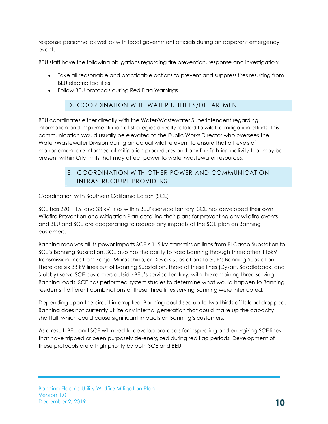response personnel as well as with local government officials during an apparent emergency event.

BEU staff have the following obligations regarding fire prevention, response and investigation:

- Take all reasonable and practicable actions to prevent and suppress fires resulting from BEU electric facilities.
- Follow BEU protocols during Red Flag Warnings.

#### D. COORDINATION WITH WATER UTILITIES/DEPARTMENT

BEU coordinates either directly with the Water/Wastewater Superintendent regarding information and implementation of strategies directly related to wildfire mitigation efforts. This communication would usually be elevated to the Public Works Director who oversees the Water/Wastewater Division during an actual wildfire event to ensure that all levels of management are informed of mitigation procedures and any fire-fighting activity that may be present within City limits that may affect power to water/wastewater resources.

#### E. COORDINATION WITH OTHER POWER AND COMMUNICATION INFRASTRUCTURE PROVIDERS

Coordination with Southern California Edison (SCE)

SCE has 220, 115, and 33 kV lines within BEU's service territory. SCE has developed their own Wildfire Prevention and Mitigation Plan detailing their plans for preventing any wildfire events and BEU and SCE are cooperating to reduce any impacts of the SCE plan on Banning customers.

Banning receives all its power imports SCE's 115 kV transmission lines from El Casco Substation to SCE's Banning Substation. SCE also has the ability to feed Banning through three other 115kV transmission lines from Zanja, Maraschino, or Devers Substations to SCE's Banning Substation. There are six 33 kV lines out of Banning Substation. Three of these lines (Dysart, Saddleback, and Stubby) serve SCE customers outside BEU's service territory, with the remaining three serving Banning loads. SCE has performed system studies to determine what would happen to Banning residents if different combinations of these three lines serving Banning were interrupted.

Depending upon the circuit interrupted, Banning could see up to two-thirds of its load dropped. Banning does not currently utilize any internal generation that could make up the capacity shortfall, which could cause significant impacts on Banning's customers.

As a result, BEU and SCE will need to develop protocols for inspecting and energizing SCE lines that have tripped or been purposely de-energized during red flag periods. Development of these protocols are a high priority by both SCE and BEU.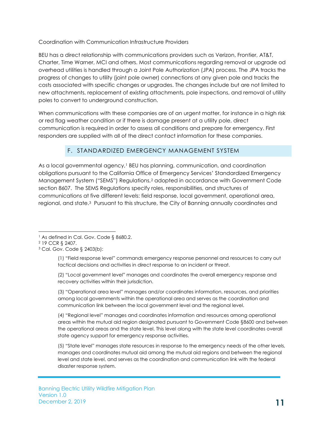#### Coordination with Communication Infrastructure Providers

BEU has a direct relationship with communications providers such as Verizon, Frontier, AT&T, Charter, Time Warner, MCI and others. Most communications regarding removal or upgrade od overhead utilities is handled through a Joint Pole Authorization (JPA) process. The JPA tracks the progress of changes to utility (joint pole owner) connections at any given pole and tracks the costs associated with specific changes or upgrades. The changes include but are not limited to new attachments, replacement of existing attachments, pole inspections, and removal of utility poles to convert to underground construction.

When communications with these companies are of an urgent matter, for instance in a high risk or red flag weather condition or if there is damage present at a utility pole, direct communication is required in order to assess all conditions and prepare for emergency. First responders are supplied with all of the direct contact information for these companies.

#### F. STANDARDIZED EMERGENCY MANAGEMENT SYSTEM

As a local governmental agency,<sup>1</sup> BEU has planning, communication, and coordination obligations pursuant to the California Office of Emergency Services' Standardized Emergency Management System ("SEMS") Regulations,2 adopted in accordance with Government Code section 8607. The SEMS Regulations specify roles, responsibilities, and structures of communications at five different levels: field response, local government, operational area, regional, and state.3 Pursuant to this structure, the City of Banning annually coordinates and

(1) "Field response level" commands emergency response personnel and resources to carry out tactical decisions and activities in direct response to an incident or threat.

(2) "Local government level" manages and coordinates the overall emergency response and recovery activities within their jurisdiction.

(3) "Operational area level" manages and/or coordinates information, resources, and priorities among local governments within the operational area and serves as the coordination and communication link between the local government level and the regional level.

(4) "Regional level" manages and coordinates information and resources among operational areas within the mutual aid region designated pursuant to Government Code §8600 and between the operational areas and the state level. This level along with the state level coordinates overall state agency support for emergency response activities.

(5) "State level" manages state resources in response to the emergency needs of the other levels, manages and coordinates mutual aid among the mutual aid regions and between the regional level and state level, and serves as the coordination and communication link with the federal disaster response system.

<sup>&</sup>lt;sup>1</sup> As defined in Cal. Gov. Code § 8680.2.

<sup>2</sup> 19 CCR § 2407.

<sup>3</sup> Cal. Gov. Code § 2403(b):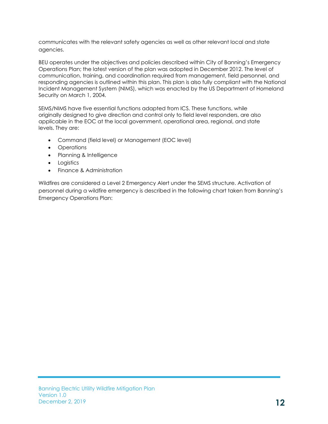communicates with the relevant safety agencies as well as other relevant local and state agencies.

BEU operates under the objectives and policies described within City of Banning's Emergency Operations Plan; the latest version of the plan was adopted in December 2012. The level of communication, training, and coordination required from management, field personnel, and responding agencies is outlined within this plan. This plan is also fully compliant with the National Incident Management System (NIMS), which was enacted by the US Department of Homeland Security on March 1, 2004.

SEMS/NIMS have five essential functions adapted from ICS. These functions, while originally designed to give direction and control only to field level responders, are also applicable in the EOC at the local government, operational area, regional, and state levels. They are:

- Command (field level) or Management (EOC level)
- Operations
- Planning & Intelligence
- Logistics
- Finance & Administration

Wildfires are considered a Level 2 Emergency Alert under the SEMS structure. Activation of personnel during a wildfire emergency is described in the following chart taken from Banning's Emergency Operations Plan: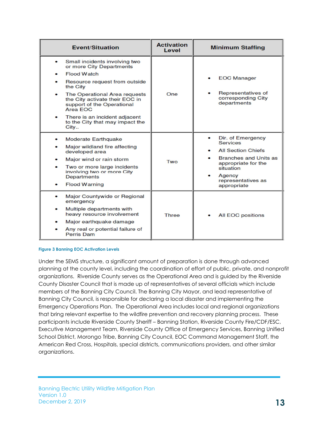| <b>Event/Situation</b>                                                                                                                                                                                                                                                                                                     | <b>Activation</b><br>Level | <b>Minimum Staffing</b>                                                                                                                                                              |  |
|----------------------------------------------------------------------------------------------------------------------------------------------------------------------------------------------------------------------------------------------------------------------------------------------------------------------------|----------------------------|--------------------------------------------------------------------------------------------------------------------------------------------------------------------------------------|--|
| Small incidents involving two<br>٠<br>or more City Departments<br><b>Flood Watch</b><br>Resource request from outside<br>the City<br>The Operational Area requests<br>the City activate their EOC in<br>support of the Operational<br>Area FOC<br>There is an incident adjacent<br>to the City that may impact the<br>City | One                        | <b>EOC Manager</b><br>Representatives of<br>corresponding City<br>departments                                                                                                        |  |
| <b>Moderate Earthquake</b><br>Major wildland fire affecting<br>developed area<br>Major wind or rain storm<br>Two or more large incidents<br>involving two or more City<br><b>Departments</b><br><b>Flood Warning</b>                                                                                                       | Two                        | Dir. of Emergency<br><b>Services</b><br><b>All Section Chiefs</b><br><b>Branches and Units as</b><br>appropriate for the<br>situation<br>Agency<br>representatives as<br>appropriate |  |
| Major Countywide or Regional<br>٠<br>emergency<br>Multiple departments with<br>heavy resource involvement<br>Major earthquake damage<br>Any real or potential failure of<br><b>Perris Dam</b>                                                                                                                              | Three                      | <b>All EOC positions</b>                                                                                                                                                             |  |

#### Figure 3 Banning EOC Activation Levels

Under the SEMS structure, a significant amount of preparation is done through advanced planning at the county level, including the coordination of effort of public, private, and nonprofit organizations. Riverside County serves as the Operational Area and is guided by the Riverside County Disaster Council that is made up of representatives of several officials which include members of the Banning City Council. The Banning City Mayor, and lead representative of Banning City Council, is responsible for declaring a local disaster and implementing the Emergency Operations Plan. The Operational Area includes local and regional organizations that bring relevant expertise to the wildfire prevention and recovery planning process. These participants include Riverside County Sheriff – Banning Station, Riverside County Fire/CDF/ESC, Executive Management Team, Riverside County Office of Emergency Services, Banning Unified School District, Morongo Tribe, Banning City Council, EOC Command Management Staff, the American Red Cross, Hospitals, special districts, communications providers, and other similar organizations.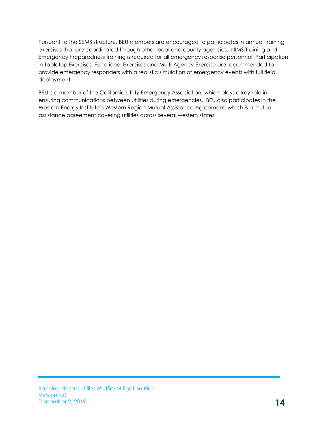Pursuant to the SEMS structure, BEU members are encouraged to participates in annual training exercises that are coordinated through other local and county agencies. NIMS Training and Emergency Preparedness training is required for all emergency response personnel. Participation in Tabletop Exercises, Functional Exercises and Multi-Agency Exercise are recommended to provide emergency responders with a realistic simulation of emergency events with full field deployment.

BEU is a member of the California Utility Emergency Association, which plays a key role in ensuring communications between utilities during emergencies. BEU also participates in the Western Energy Institute's Western Region Mutual Assistance Agreement, which is a mutual assistance agreement covering utilities across several western states.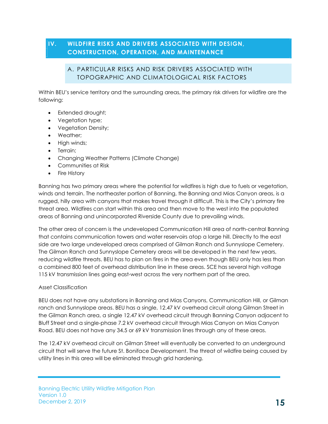#### IV. WILDFIRE RISKS AND DRIVERS ASSOCIATED WITH DESIGN, CONSTRUCTION, OPERATION, AND MAINTENANCE

#### A. PARTICULAR RISKS AND RISK DRIVERS ASSOCIATED WITH TOPOGRAPHIC AND CLIMATOLOGICAL RISK FACTORS

Within BEU's service territory and the surrounding areas, the primary risk drivers for wildfire are the following:

- Extended drought:
- Vegetation type;
- Vegetation Density;
- Weather:
- High winds;
- Terrain;
- Changing Weather Patterns (Climate Change)
- Communities at Risk
- Fire History

Banning has two primary areas where the potential for wildfires is high due to fuels or vegetation, winds and terrain. The northeaster portion of Banning, the Banning and Mias Canyon areas, is a rugged, hilly area with canyons that makes travel through it difficult. This is the City's primary fire threat area. Wildfires can start within this area and then move to the west into the populated areas of Banning and unincorporated Riverside County due to prevailing winds.

The other area of concern is the undeveloped Communication Hill area of north-central Banning that contains communication towers and water reservoirs atop a large hill. Directly to the east side are two large undeveloped areas comprised of Gilman Ranch and Sunnyslope Cemetery. The Gilman Ranch and Sunnyslope Cemetery areas will be developed in the next few years, reducing wildfire threats. BEU has to plan on fires in the area even though BEU only has less than a combined 800 feet of overhead distribution line in these areas. SCE has several high voltage 115 kV transmission lines going east-west across the very northern part of the area.

#### Asset Classification

BEU does not have any substations in Banning and Mias Canyons, Communication Hill, or Gilman ranch and Sunnyslope areas. BEU has a single, 12.47 kV overhead circuit along Gilman Street in the Gilman Ranch area, a single 12.47 kV overhead circuit through Banning Canyon adjacent to Bluff Street and a single-phase 7.2 kV overhead circuit through Mias Canyon on Mias Canyon Road. BEU does not have any 34.5 or 69 kV transmission lines through any of these areas.

The 12.47 kV overhead circuit on Gilman Street will eventually be converted to an underground circuit that will serve the future St. Boniface Development. The threat of wildfire being caused by utility lines in this area will be eliminated through grid hardening.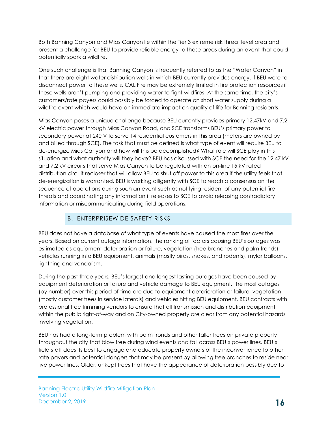Both Banning Canyon and Mias Canyon lie within the Tier 3 extreme risk threat level area and present a challenge for BEU to provide reliable energy to these areas during an event that could potentially spark a wildfire.

One such challenge is that Banning Canyon is frequently referred to as the "Water Canyon" in that there are eight water distribution wells in which BEU currently provides energy. If BEU were to disconnect power to these wells, CAL Fire may be extremely limited in fire protection resources if these wells aren't pumping and providing water to fight wildfires. At the same time, the city's customers/rate payers could possibly be forced to operate on short water supply during a wildfire event which would have an immediate impact on quality of life for Banning residents.

Mias Canyon poses a unique challenge because BEU currently provides primary 12.47kV and 7.2 kV electric power through Mias Canyon Road, and SCE transforms BEU's primary power to secondary power at 240 V to serve 14 residential customers in this area (meters are owned by and billed through SCE). The task that must be defined is what type of event will require BEU to de-energize Mias Canyon and how will this be accomplished? What role will SCE play in this situation and what authority will they have? BEU has discussed with SCE the need for the 12.47 kV and 7.2 kV circuits that serve Mias Canyon to be regulated with an on-line 15 kV rated distribution circuit recloser that will allow BEU to shut off power to this area if the utility feels that de-energization is warranted. BEU is working diligently with SCE to reach a consensus on the sequence of operations during such an event such as notifying resident of any potential fire threats and coordinating any information it releases to SCE to avoid releasing contradictory information or miscommunicating during field operations.

#### B. ENTERPRISEWIDE SAFETY RISKS

BEU does not have a database of what type of events have caused the most fires over the years. Based on current outage information, the ranking of factors causing BEU's outages was estimated as equipment deterioration or failure, vegetation (tree branches and palm fronds), vehicles running into BEU equipment, animals (mostly birds, snakes, and rodents), mylar balloons, lightning and vandalism.

During the past three years, BEU's largest and longest lasting outages have been caused by equipment deterioration or failure and vehicle damage to BEU equipment. The most outages (by number) over this period of time are due to equipment deterioration or failure, vegetation (mostly customer trees in service laterals) and vehicles hitting BEU equipment. BEU contracts with professional tree trimming vendors to ensure that all transmission and distribution equipment within the public right-of-way and on City-owned property are clear from any potential hazards involving vegetation.

BEU has had a long-term problem with palm fronds and other taller trees on private property throughout the city that blow free during wind events and fall across BEU's power lines. BEU's field staff does its best to engage and educate property owners of the inconvenience to other rate payers and potential dangers that may be present by allowing tree branches to reside near live power lines. Older, unkept trees that have the appearance of deterioration possibly due to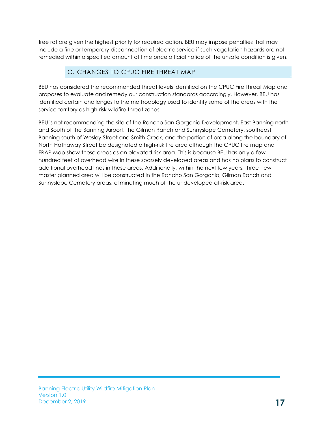tree rot are given the highest priority for required action. BEU may impose penalties that may include a fine or temporary disconnection of electric service if such vegetation hazards are not remedied within a specified amount of time once official notice of the unsafe condition is given.

# C. CHANGES TO CPUC FIRE THREAT MAP

BEU has considered the recommended threat levels identified on the CPUC Fire Threat Map and proposes to evaluate and remedy our construction standards accordingly. However, BEU has identified certain challenges to the methodology used to identify some of the areas with the service territory as high-risk wildfire threat zones.

BEU is not recommending the site of the Rancho San Gorgonio Development, East Banning north and South of the Banning Airport, the Gilman Ranch and Sunnyslope Cemetery, southeast Banning south of Wesley Street and Smith Creek, and the portion of area along the boundary of North Hathaway Street be designated a high-risk fire area although the CPUC fire map and FRAP Map show these areas as an elevated risk area. This is because BEU has only a few hundred feet of overhead wire in these sparsely developed areas and has no plans to construct additional overhead lines in these areas. Additionally, within the next few years, three new master planned area will be constructed in the Rancho San Gorgonio, Gilman Ranch and Sunnyslope Cemetery areas, eliminating much of the undeveloped at-risk area.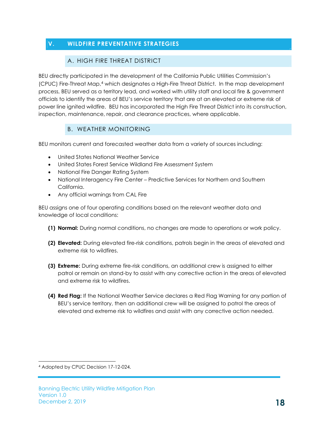# V. WILDFIRE PREVENTATIVE STRATEGIES

#### A. HIGH FIRE THREAT DISTRICT

BEU directly participated in the development of the California Public Utilities Commission's (CPUC) Fire-Threat Map,<sup>4</sup> which designates a High-Fire Threat District. In the map development process, BEU served as a territory lead, and worked with utility staff and local fire & government officials to identify the areas of BEU's service territory that are at an elevated or extreme risk of power line ignited wildfire. BEU has incorporated the High Fire Threat District into its construction, inspection, maintenance, repair, and clearance practices, where applicable.

#### B. WEATHER MONITORING

BEU monitors current and forecasted weather data from a variety of sources including:

- United States National Weather Service
- United States Forest Service Wildland Fire Assessment System
- National Fire Danger Rating System
- National Interagency Fire Center Predictive Services for Northern and Southern California.
- Any official warnings from CAL Fire

BEU assigns one of four operating conditions based on the relevant weather data and knowledge of local conditions:

- (1) Normal: During normal conditions, no changes are made to operations or work policy.
- (2) Elevated: During elevated fire-risk conditions, patrols begin in the areas of elevated and extreme risk to wildfires.
- (3) Extreme: During extreme fire-risk conditions, an additional crew is assigned to either patrol or remain on stand-by to assist with any corrective action in the areas of elevated and extreme risk to wildfires.
- (4) Red Flag: If the National Weather Service declares a Red Flag Warning for any portion of BEU's service territory, then an additional crew will be assigned to patrol the areas of elevated and extreme risk to wildfires and assist with any corrective action needed.

<sup>4</sup> Adopted by CPUC Decision 17-12-024.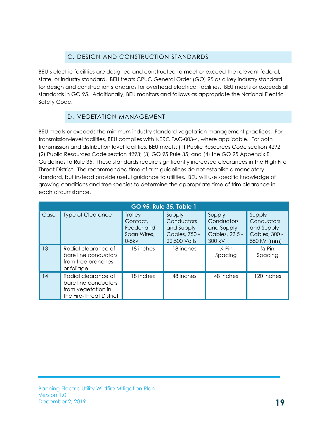## C. DESIGN AND CONSTRUCTION STANDARDS

BEU's electric facilities are designed and constructed to meet or exceed the relevant federal, state, or industry standard. BEU treats CPUC General Order (GO) 95 as a key industry standard for design and construction standards for overhead electrical facilities. BEU meets or exceeds all standards in GO 95. Additionally, BEU monitors and follows as appropriate the National Electric Safety Code.

## D. VEGETATION MANAGEMENT

BEU meets or exceeds the minimum industry standard vegetation management practices. For transmission-level facilities, BEU complies with NERC FAC-003-4, where applicable. For both transmission and distribution level facilities, BEU meets: (1) Public Resources Code section 4292; (2) Public Resources Code section 4293; (3) GO 95 Rule 35; and (4) the GO 95 Appendix E Guidelines to Rule 35. These standards require significantly increased clearances in the High Fire Threat District. The recommended time-of-trim guidelines do not establish a mandatory standard, but instead provide useful guidance to utilities. BEU will use specific knowledge of growing conditions and tree species to determine the appropriate time of trim clearance in each circumstance.

| GO 95, Rule 35, Table 1 |                                                                                               |                                                             |                                                                     |                                                                |                                                                    |  |  |  |  |
|-------------------------|-----------------------------------------------------------------------------------------------|-------------------------------------------------------------|---------------------------------------------------------------------|----------------------------------------------------------------|--------------------------------------------------------------------|--|--|--|--|
| Case                    | <b>Type of Clearance</b>                                                                      | Trolley<br>Contact.<br>Feeder and<br>Span Wires,<br>$0-5kv$ | Supply<br>Conductors<br>and Supply<br>Cables, 750 -<br>22,500 Volts | Supply<br>Conductors<br>and Supply<br>Cables, 22.5 -<br>300 kV | Supply<br>Conductors<br>and Supply<br>Cables, 300 -<br>550 kV (mm) |  |  |  |  |
| 13                      | Radial clearance of<br>bare line conductors<br>from tree branches<br>or foliage               | 18 inches                                                   | 18 inches                                                           | $\frac{1}{4}$ Pin<br>Spacing                                   | $\frac{1}{2}$ Pin<br>Spacing                                       |  |  |  |  |
| 14                      | Radial clearance of<br>bare line conductors<br>from vegetation in<br>the Fire-Threat District | 18 inches                                                   | 48 inches                                                           | 48 inches                                                      | 120 inches                                                         |  |  |  |  |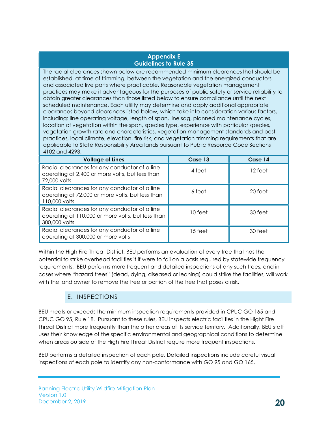#### Appendix E Guidelines to Rule 35

The radial clearances shown below are recommended minimum clearances that should be established, at time of trimming, between the vegetation and the energized conductors and associated live parts where practicable. Reasonable vegetation management practices may make it advantageous for the purposes of public safety or service reliability to obtain greater clearances than those listed below to ensure compliance until the next scheduled maintenance. Each utility may determine and apply additional appropriate clearances beyond clearances listed below, which take into consideration various factors, including: line operating voltage, length of span, line sag, planned maintenance cycles, location of vegetation within the span, species type, experience with particular species, vegetation growth rate and characteristics, vegetation management standards and best practices, local climate, elevation, fire risk, and vegetation trimming requirements that are applicable to State Responsibility Area lands pursuant to Public Resource Code Sections 4102 and 4293.

| <b>Voltage of Lines</b>                                                                                             | Case 13 | Case 14 |
|---------------------------------------------------------------------------------------------------------------------|---------|---------|
| Radial clearances for any conductor of a line<br>operating at 2,400 or more volts, but less than<br>72,000 volts    | 4 feet  | 12 feet |
| Radial clearances for any conductor of a line<br>operating at 72,000 or more volts, but less than<br>110,000 volts  | 6 feet  | 20 feet |
| Radial clearances for any conductor of a line<br>operating at 110,000 or more volts, but less than<br>300,000 volts | 10 feet | 30 feet |
| Radial clearances for any conductor of a line<br>operating at 300,000 or more volts                                 | 15 feet | 30 feet |

Within the High Fire Threat District, BEU performs an evaluation of every tree that has the potential to strike overhead facilities it if were to fail on a basis required by statewide frequency requirements. BEU performs more frequent and detailed inspections of any such trees, and in cases where "hazard trees" (dead, dying, diseased or leaning) could strike the facilities, will work with the land owner to remove the tree or portion of the tree that poses a risk.

#### E. INSPECTIONS

BEU meets or exceeds the minimum inspection requirements provided in CPUC GO 165 and CPUC GO 95, Rule 18. Pursuant to these rules, BEU inspects electric facilities in the Hight Fire Threat District more frequently than the other areas of its service territory. Additionally, BEU staff uses their knowledge of the specific environmental and geographical conditions to determine when areas outside of the High Fire Threat District require more frequent inspections.

BEU performs a detailed inspection of each pole. Detailed inspections include careful visual inspections of each pole to identify any non-conformance with GO 95 and GO 165,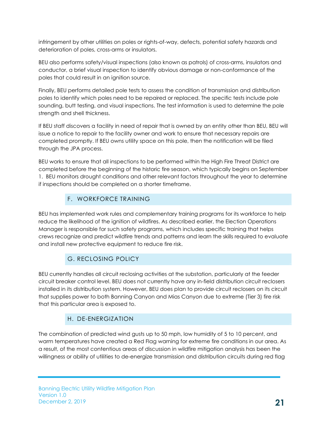infringement by other utilities on poles or rights-of-way, defects, potential safety hazards and deterioration of poles, cross-arms or insulators.

BEU also performs safety/visual inspections (also known as patrols) of cross-arms, insulators and conductor, a brief visual inspection to identify obvious damage or non-conformance of the poles that could result in an ignition source.

Finally, BEU performs detailed pole tests to assess the condition of transmission and distribution poles to identify which poles need to be repaired or replaced. The specific tests include pole sounding, butt testing, and visual inspections. The test information is used to determine the pole strength and shell thickness.

If BEU staff discovers a facility in need of repair that is owned by an entity other than BEU, BEU will issue a notice to repair to the facility owner and work to ensure that necessary repairs are completed promptly. If BEU owns utility space on this pole, then the notification will be filed through the JPA process.

BEU works to ensure that all inspections to be performed within the High Fire Threat District are completed before the beginning of the historic fire season, which typically begins on September 1. BEU monitors drought conditions and other relevant factors throughout the year to determine if inspections should be completed on a shorter timeframe.

## F. WORKFORCE TRAINING

BEU has implemented work rules and complementary training programs for its workforce to help reduce the likelihood of the ignition of wildfires. As described earlier, the Election Operations Manager is responsible for such safety programs, which includes specific training that helps crews recognize and predict wildfire trends and patterns and learn the skills required to evaluate and install new protective equipment to reduce fire risk.

# G. RECLOSING POLICY

BEU currently handles all circuit reclosing activities at the substation, particularly at the feeder circuit breaker control level. BEU does not currently have any in-field distribution circuit reclosers installed in its distribution system. However, BEU does plan to provide circuit reclosers on its circuit that supplies power to both Banning Canyon and Mias Canyon due to extreme (Tier 3) fire risk that this particular area is exposed to.

# H. DE-ENERGIZATION

The combination of predicted wind gusts up to 50 mph, low humidity of 5 to 10 percent, and warm temperatures have created a Red Flag warning for extreme fire conditions in our area. As a result, of the most contentious areas of discussion in wildfire mitigation analysis has been the willingness or ability of utilities to de-energize transmission and distribution circuits during red flag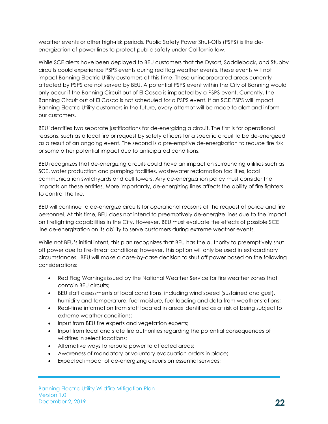weather events or other high-risk periods. Public Safety Power Shut-Offs (PSPS) is the deenergization of power lines to protect public safety under California law.

While SCE alerts have been deployed to BEU customers that the Dysart, Saddleback, and Stubby circuits could experience PSPS events during red flag weather events, these events will not impact Banning Electric Utility customers at this time. These unincorporated areas currently affected by PSPS are not served by BEU. A potential PSPS event within the City of Banning would only occur if the Banning Circuit out of El Casco is impacted by a PSPS event. Currently, the Banning Circuit out of El Casco is not scheduled for a PSPS event. If an SCE PSPS will impact Banning Electric Utility customers in the future, every attempt will be made to alert and inform our customers.

BEU identifies two separate justifications for de-energizing a circuit. The first is for operational reasons, such as a local fire or request by safety officers for a specific circuit to be de-energized as a result of an ongoing event. The second is a pre-emptive de-energization to reduce fire risk or some other potential impact due to anticipated conditions.

BEU recognizes that de-energizing circuits could have an impact on surrounding utilities such as SCE, water production and pumping facilities, wastewater reclamation facilities, local communication switchyards and cell towers. Any de-energization policy must consider the impacts on these entities. More importantly, de-energizing lines affects the ability of fire fighters to control the fire.

BEU will continue to de-energize circuits for operational reasons at the request of police and fire personnel. At this time, BEU does not intend to preemptively de-energize lines due to the impact on firefighting capabilities in the City. However, BEU must evaluate the effects of possible SCE line de-energization on its ability to serve customers during extreme weather events.

While not BEU's initial intent, this plan recognizes that BEU has the authority to preemptively shut off power due to fire-threat conditions; however, this option will only be used in extraordinary circumstances. BEU will make a case-by-case decision to shut off power based on the following considerations:

- Red Flag Warnings issued by the National Weather Service for fire weather zones that contain BEU circuits;
- BEU staff assessments of local conditions, including wind speed (sustained and gust), humidity and temperature, fuel moisture, fuel loading and data from weather stations;
- Real-time information from staff located in areas identified as at risk of being subject to extreme weather conditions;
- Input from BEU fire experts and vegetation experts;
- Input from local and state fire authorities regarding the potential consequences of wildfires in select locations;
- Alternative ways to reroute power to affected areas;
- Awareness of mandatory or voluntary evacuation orders in place;
- Expected impact of de-energizing circuits on essential services;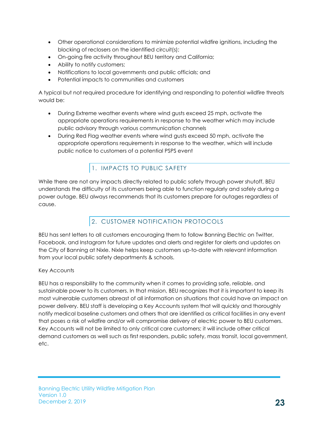- Other operational considerations to minimize potential wildfire ignitions, including the blocking of reclosers on the identified circuit(s);
- On-going fire activity throughout BEU territory and California;
- Ability to notify customers;
- Notifications to local governments and public officials; and
- Potential impacts to communities and customers

A typical but not required procedure for identifying and responding to potential wildfire threats would be:

- During Extreme weather events where wind gusts exceed 25 mph, activate the appropriate operations requirements in response to the weather which may include public advisory through various communication channels
- During Red Flag weather events where wind gusts exceed 50 mph, activate the appropriate operations requirements in response to the weather, which will include public notice to customers of a potential PSPS event

# 1. IMPACTS TO PUBLIC SAFETY

While there are not any impacts directly related to public safety through power shutoff, BEU understands the difficulty of its customers being able to function regularly and safely during a power outage. BEU always recommends that its customers prepare for outages regardless of cause.

# 2. CUSTOMER NOTIFICATION PROTOCOLS

BEU has sent letters to all customers encouraging them to follow Banning Electric on Twitter, Facebook, and Instagram for future updates and alerts and register for alerts and updates on the City of Banning at Nixle. Nixle helps keep customers up-to-date with relevant information from your local public safety departments & schools.

#### Key Accounts

BEU has a responsibility to the community when it comes to providing safe, reliable, and sustainable power to its customers. In that mission, BEU recognizes that it is important to keep its most vulnerable customers abreast of all information on situations that could have an impact on power delivery. BEU staff is developing a Key Accounts system that will quickly and thoroughly notify medical baseline customers and others that are identified as critical facilities in any event that poses a risk of wildfire and/or will compromise delivery of electric power to BEU customers. Key Accounts will not be limited to only critical care customers; it will include other critical demand customers as well such as first responders, public safety, mass transit, local government, etc.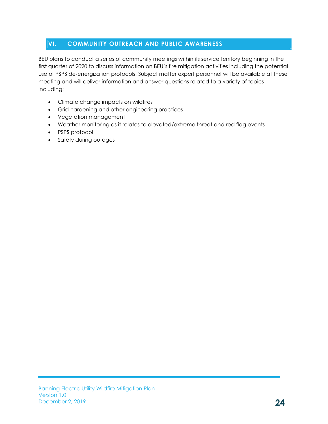## VI. COMMUNITY OUTREACH AND PUBLIC AWARENESS

BEU plans to conduct a series of community meetings within its service territory beginning in the first quarter of 2020 to discuss information on BEU's fire mitigation activities including the potential use of PSPS de-energization protocols. Subject matter expert personnel will be available at these meeting and will deliver information and answer questions related to a variety of topics including:

- Climate change impacts on wildfires
- Grid hardening and other engineering practices
- Vegetation management
- Weather monitoring as it relates to elevated/extreme threat and red flag events
- PSPS protocol
- Safety during outages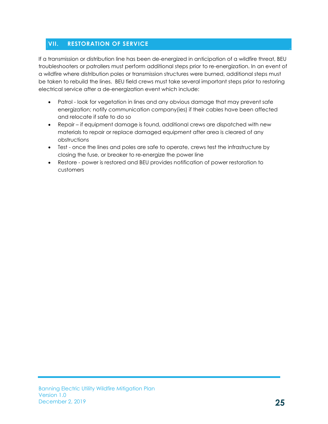## VII. RESTORATION OF SERVICE

If a transmission or distribution line has been de-energized in anticipation of a wildfire threat, BEU troubleshooters or patrollers must perform additional steps prior to re-energization. In an event of a wildfire where distribution poles or transmission structures were burned, additional steps must be taken to rebuild the lines. BEU field crews must take several important steps prior to restoring electrical service after a de-energization event which include:

- Patrol look for vegetation in lines and any obvious damage that may prevent safe energization; notify communication company(ies) if their cables have been affected and relocate if safe to do so
- Repair if equipment damage is found, additional crews are dispatched with new materials to repair or replace damaged equipment after area is cleared of any obstructions
- Test once the lines and poles are safe to operate, crews test the infrastructure by closing the fuse, or breaker to re-energize the power line
- Restore power is restored and BEU provides notification of power restoration to customers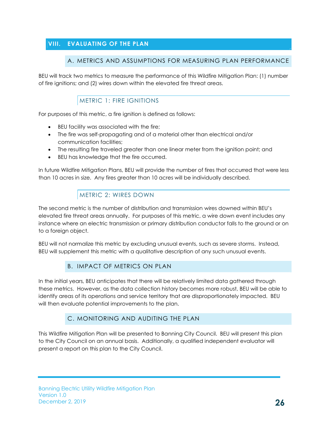## VIII. EVALUATING OF THE PLAN

#### A. METRICS AND ASSUMPTIONS FOR MEASURING PLAN PERFORMANCE

BEU will track two metrics to measure the performance of this Wildfire Mitigation Plan: (1) number of fire ignitions; and (2) wires down within the elevated fire threat areas.

#### METRIC 1: FIRE IGNITIONS

For purposes of this metric, a fire ignition is defined as follows:

- BEU facility was associated with the fire;
- The fire was self-propagating and of a material other than electrical and/or communication facilities;
- The resulting fire traveled greater than one linear meter from the ignition point; and
- BEU has knowledge that the fire occurred.

In future Wildfire Mitigation Plans, BEU will provide the number of fires that occurred that were less than 10 acres in size. Any fires greater than 10 acres will be individually described.

#### METRIC 2: WIRES DOWN

The second metric is the number of distribution and transmission wires downed within BEU's elevated fire threat areas annually. For purposes of this metric, a wire down event includes any instance where an electric transmission or primary distribution conductor falls to the ground or on to a foreign object.

BEU will not normalize this metric by excluding unusual events, such as severe storms. Instead, BEU will supplement this metric with a qualitative description of any such unusual events.

#### B. IMPACT OF METRICS ON PLAN

In the initial years, BEU anticipates that there will be relatively limited data gathered through these metrics. However, as the data collection history becomes more robust, BEU will be able to identify areas of its operations and service territory that are disproportionately impacted. BEU will then evaluate potential improvements to the plan.

#### C. MONITORING AND AUDITING THE PLAN

This Wildfire Mitigation Plan will be presented to Banning City Council. BEU will present this plan to the City Council on an annual basis. Additionally, a qualified independent evaluator will present a report on this plan to the City Council.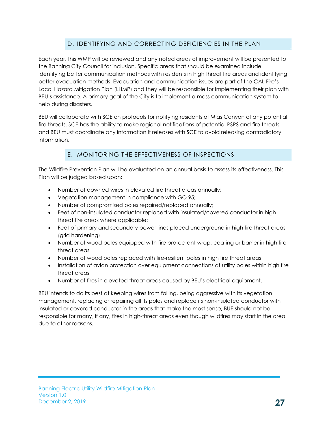# D. IDENTIFYING AND CORRECTING DEFICIENCIES IN THE PLAN

Each year, this WMP will be reviewed and any noted areas of improvement will be presented to the Banning City Council for inclusion. Specific areas that should be examined include identifying better communication methods with residents in high threat fire areas and identifying better evacuation methods. Evacuation and communication issues are part of the CAL Fire's Local Hazard Mitigation Plan (LHMP) and they will be responsible for implementing their plan with BEU's assistance. A primary goal of the City is to implement a mass communication system to help during disasters.

BEU will collaborate with SCE on protocols for notifying residents of Mias Canyon of any potential fire threats. SCE has the ability to make regional notifications of potential PSPS and fire threats and BEU must coordinate any information it releases with SCE to avoid releasing contradictory information.

#### E. MONITORING THE EFFECTIVENESS OF INSPECTIONS

The Wildfire Prevention Plan will be evaluated on an annual basis to assess its effectiveness. This Plan will be judged based upon:

- Number of downed wires in elevated fire threat areas annually;
- Vegetation management in compliance with GO 95;
- Number of compromised poles repaired/replaced annually;
- Feet of non-insulated conductor replaced with insulated/covered conductor in high threat fire areas where applicable;
- Feet of primary and secondary power lines placed underground in high fire threat areas (grid hardening)
- Number of wood poles equipped with fire protectant wrap, coating or barrier in high fire threat areas
- Number of wood poles replaced with fire-resilient poles in high fire threat areas
- Installation of avian protection over equipment connections at utility poles within high fire threat areas
- Number of fires in elevated threat areas caused by BEU's electrical equipment.

BEU intends to do its best at keeping wires from falling, being aggressive with its vegetation management, replacing or repairing all its poles and replace its non-insulated conductor with insulated or covered conductor in the areas that make the most sense, BUE should not be responsible for many, if any, fires in high-threat areas even though wildfires may start in the area due to other reasons.